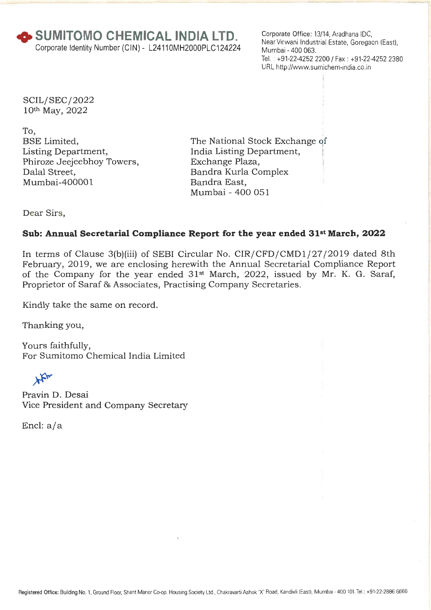**+ SUMITOMO CHEMICAL INDIA LTD.**  Corporate Identity Number (CIN) - L24110MH2000PLC124224 Corporate Office: 13/14, Aradhana IDC, Near Virwani Industrial Estate, Goregaon (East), Mumbai - 400 063. Tel.: +91-22-4252 2200 / Fax : +91-22-4252 2380 URL http://www.sumichem-india.co.in

SCIL/ SEC/ 2022 10th May, 2022

To, BSE Limited, Listing Department, Phiroze Jeejeebhoy Towers, Dalal Street, Mumbai-400001

The National Stock Exchange of India Listing Department, Exchange Plaza, Bandra Kurla Complex Bandra East, Mumbai - 400 051

Dear Sirs,

## **Sub: Annual Secretarial Compliance Report for the year ended 31st March, 2022**

In terms of Clause 3(b)(iii) of SEBI Circular No. CIR/CFD/CMD1/27/2019 dated 8th February, 2019, we are enclosing herewith the Annual Secretarial Compliance Report of the Company for the year ended 31st March, 2022, issued by Mr. K. G. Saraf, Proprietor of Saraf 86 Associates, Practising Company Secretaries.

Kindly take the same on record.

Thanking you,

Yours faithfully, For Sumitomo Chemical India Limited

 $\star$ 

Pravin D. Desai Vice President and Company Secretary

Encl: a/a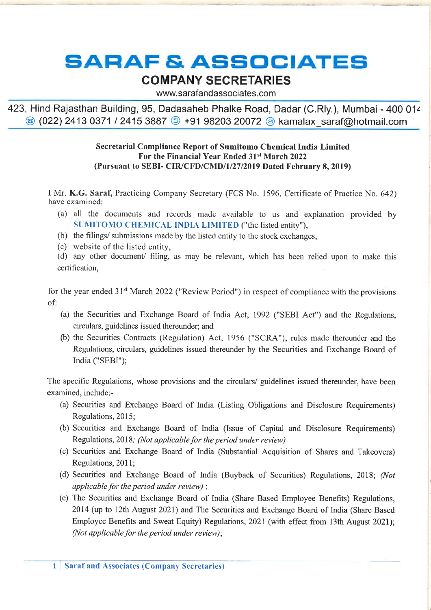# **SARAF & ASSOCIATES**

# **COMPANY SECRETARIES**

www.sarafandassociates.com

423, Hind Rajasthan Building, 95, Dadasaheb Phalke Road, Dadar (C.Rly.), Mumbai - 400 01z  $\circledR$  (022) 2413 0371 / 2415 3887  $\circledR$  +91 98203 20072  $\circledR$  kamalax saraf@hotmail.com

#### **Secretarial Compliance Report of Sumitomo Chemical India Limited For the Financial Year Ended 31st March 2022 (Pursuant to SEBI- CIR/CFD/CMD/1/27/2019 Dated February 8, 2019)**

I Mr. **K.G. Saraf,** Practicing Company Secretary (FCS No. 1596, Certificate of Practice No. 642) have examined:

- (a) all the documents and records made available to us and explanation provided by **SUMITONIO** CHEMICAL INDIA **LIMITED** ("the listed entity"),
- (b) the filings/ submissions made by the listed entity to the stock exchanges,
- (c) website of the listed entity,

(d) any other document/ filing, as may be relevant, which has been relied upon to make this certification,

for the year ended 31<sup>st</sup> March 2022 ("Review Period") in respect of compliance with the provisions of:

- (a) the Securities and Exchange Board of India Act, 1992 ("SEBI Act") and the Regulations, circulars, guidelines issued thereunder; and
- (b) the Securities Contracts (Regulation) Act, 1956 ("SCRA"), rules made thereunder and the Regulations, circulars, guidelines issued thereunder by the Securities and Exchange Board of India ("SEBI");

The specific Regulations, whose provisions and the circulars/ guidelines issued thereunder, have been examined, include:-

- (a) Securities and Exchange Board of India (Listing Obligations and Disclosure Requirements) Regulations, 2015;
- (b) Securities and Exchange Board of India (Issue of Capital and Disclosure Requirements) Regulations, 2018; *(Not applicable for the period under review)*
- (c) Securities and Exchange Board of India (Substantial Acquisition of Shares and Takeovers) Regulations, 2011;
- (d) Securities and Exchange Board of India (Buyback of Securities) Regulations, 2018; *(Not applicable for the period under review) ;*
- (e) The Securities and Exchange Board of India (Share Based Employee Benefits) Regulations, 2014 (up to 12th August 2021) and The Securities and Exchange Board of India (Share Based Employee Benefits and Sweat Equity) Regulations, 2021 (with effect from 13th August 2021); *(Not applicable for the period under review);*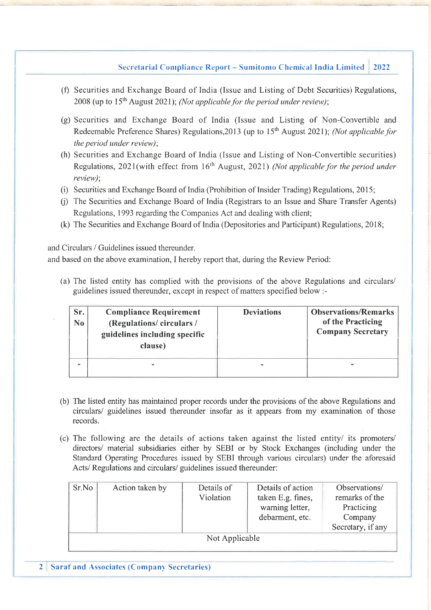#### Secretarial Compliance Report – Sumitomo Chemical India Limited 2022

- (f) Securities and Exchange Board of India (Issue and Listing of Debt Securities) Regulations, 2008 (up to 15<sup>th</sup> August 2021); *(Not applicable for the period under review)*;
- (g) Securities and Exchange Board of India (Issue and Listing of Non-Convertible and Redeemable Preference Shares) Regulations, 2013 (up to 15<sup>th</sup> August 2021); *(Not applicable for the period under review);*
- (h) Securities and Exchange Board of India (Issue and Listing of Non-Convertible securities) Regulations, 2021(with effect from 16<sup>th</sup> August, 2021) *(Not applicable for the period under review);*
- (i) Securities and Exchange Board of India (Prohibition of Insider Trading) Regulations, 2015;
- (j) The Securities and Exchange Board of India (Registrars to an Issue and Share Transfer Agents) Regulations, 1993 regarding the Companies Act and dealing with client;
- (k) The Securities and Exchange Board of India (Depositories and Participant) Regulations, 2018;

and Circulars / Guidelines issued thereunder.

and based on the above examination, **I** hereby report that, during the Review Period:

(a) The listed entity has complied with the provisions of the above Regulations and circulars/ guidelines issued thereunder, except in respect of matters specified below :-

| Sr.<br>N <sub>0</sub> | <b>Compliance Requirement</b><br>(Regulations/circulars/<br>guidelines including specific<br>clause) | <b>Deviations</b> | <b>Observations/Remarks</b><br>of the Practicing<br><b>Company Secretary</b> |
|-----------------------|------------------------------------------------------------------------------------------------------|-------------------|------------------------------------------------------------------------------|
|                       |                                                                                                      |                   |                                                                              |

- (b) The listed entity has maintained proper records under the provisions of the above Regulations and circulars/ guidelines issued thereunder insofar as it appears from my examination of those records.
- (c) The following are the details of actions taken against the listed entity/ its promoters/ directors/ material subsidiaries either by SEBI or by Stock Exchanges (including under the Standard Operating Procedures issued by SEBI through various circulars) under the aforesaid Acts/ Regulations and circulars/ guidelines issued thereunder:

| Sr.No          | Action taken by | Details of<br>Violation | Details of action<br>taken E.g. fines,<br>warning letter,<br>debarment, etc. | Observations/<br>remarks of the<br>Practicing<br>Company<br>Secretary, if any |  |  |  |
|----------------|-----------------|-------------------------|------------------------------------------------------------------------------|-------------------------------------------------------------------------------|--|--|--|
| Not Applicable |                 |                         |                                                                              |                                                                               |  |  |  |

2 Saraf and Associates (Company Secretaries)